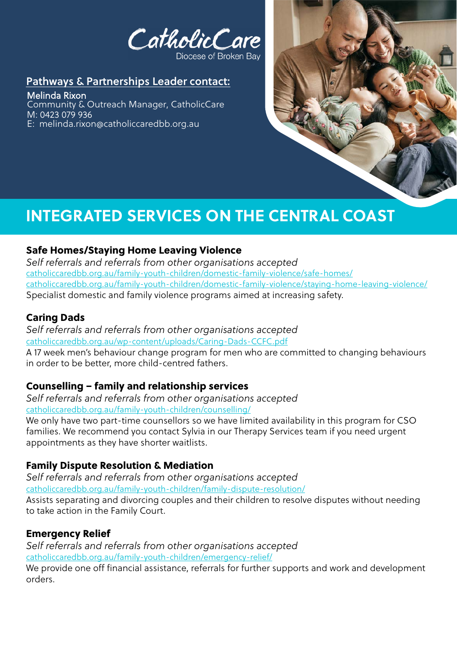CatholicCare

#### Diocese of Broken Bay

## Pathways & Partnerships Leader contact:

Melinda Rixon Community & Outreach Manager, CatholicCare M: 0423 079 936 E: melinda.rixon@catholiccaredbb.org.au



# **INTEGRATED SERVICES ON THE CENTRAL COAST**

## Safe Homes/Staying Home Leaving Violence

*Self referrals and referrals from other organisations accepted* [catholiccaredbb.org.au/family-youth-children/domestic-family-violence/safe-homes/](http://www.catholiccaredbb.org.au/family-youth-children/domestic-family-violence/safe-homes/) [catholiccaredbb.org.au/family-youth-children/domestic-family-violence/staying-home-leaving-violence/](http://www.catholiccaredbb.org.au/family-youth-children/domestic-family-violence/staying-home-leaving-violence/) Specialist domestic and family violence programs aimed at increasing safety.

## Caring Dads

*Self referrals and referrals from other organisations accepted* [catholiccaredbb.org.au/wp-content/uploads/Caring-Dads-CCFC.pdf](http://www.catholiccaredbb.org.au/wp-content/uploads/Caring-Dads-CCFC.pdf) A 17 week men's behaviour change program for men who are committed to changing behaviours in order to be better, more child-centred fathers.

## Counselling – family and relationship services

*Self referrals and referrals from other organisations accepted* [catholiccaredbb.org.au/family-youth-children/counselling/](http://www.catholiccaredbb.org.au/family-youth-children/counselling/)

We only have two part-time counsellors so we have limited availability in this program for CSO families. We recommend you contact Sylvia in our Therapy Services team if you need urgent appointments as they have shorter waitlists.

# Family Dispute Resolution & Mediation

*Self referrals and referrals from other organisations accepted* [catholiccaredbb.org.au/family-youth-children/family-dispute-resolution/](http://www.catholiccaredbb.org.au/family-youth-children/family-dispute-resolution/) Assists separating and divorcing couples and their children to resolve disputes without needing to take action in the Family Court.

### Emergency Relief

*Self referrals and referrals from other organisations accepted* [catholiccaredbb.org.au/family-youth-children/emergency-relief/](http://www.catholiccaredbb.org.au/family-youth-children/emergency-relief/)

We provide one off financial assistance, referrals for further supports and work and development orders.